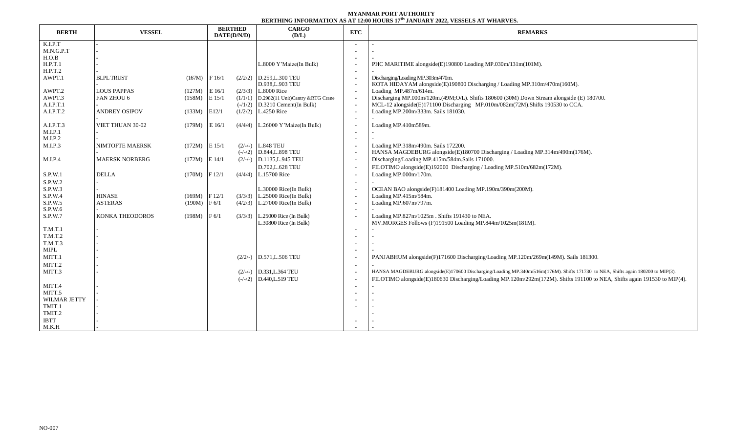## **MYANMAR PORT AUTHORITY BERTHING INFORMATION AS AT 12:00 HOURS 17 th JANUARY 2022, VESSELS AT WHARVES.**

| <b>BERTH</b> | <b>VESSEL</b>          |                   | <b>BERTHED</b><br>DATE(D/N/D) |         | <b>CARGO</b><br>(D/L)                              | ETC | <b>REMARKS</b>                                                                                                                  |  |  |  |
|--------------|------------------------|-------------------|-------------------------------|---------|----------------------------------------------------|-----|---------------------------------------------------------------------------------------------------------------------------------|--|--|--|
| K.I.P.T      |                        |                   |                               |         |                                                    |     |                                                                                                                                 |  |  |  |
| M.N.G.P.T    |                        |                   |                               |         |                                                    |     |                                                                                                                                 |  |  |  |
| H.O.B        |                        |                   |                               |         |                                                    |     |                                                                                                                                 |  |  |  |
| H.P.T.1      |                        |                   |                               |         | L.8000 Y'Maize(In Bulk)                            |     | PHC MARITIME alongside(E)190800 Loading MP.030m/131m(101M).                                                                     |  |  |  |
| H.P.T.2      |                        |                   |                               |         |                                                    |     |                                                                                                                                 |  |  |  |
| AWPT.1       | <b>BLPL TRUST</b>      | $(167M)$ F $16/1$ |                               |         | $(2/2/2)$ D.259, L.300 TEU<br>D.938, L.903 TEU     |     | Discharging/Loading MP.303m/470m.<br>KOTA HIDAYAM alongside(E)190800 Discharging / Loading MP.310m/470m(160M).                  |  |  |  |
| AWPT.2       | <b>LOUS PAPPAS</b>     | (127M)            | $E$ 16/1                      |         | $(2/3/3)$ L.8000 Rice                              |     | Loading MP.487m/614m.                                                                                                           |  |  |  |
| AWPT.3       | FAN ZHOU 6             | (158M)            | $E$ 15/1                      |         | $(1/1/1)$ D.2982(11 Unit)Cantry &RTG Crane         |     | Discharging MP.000m/120m.(49M;O/L). Shifts 180600 (30M) Down Stream alongside (E) 180700.                                       |  |  |  |
| A.I.P.T.1    |                        |                   |                               |         | $(-/1/2)$ D.3210 Cement(In Bulk)                   |     | MCL-12 alongside(E)171100 Discharging MP.010m/082m(72M).Shifts 190530 to CCA.                                                   |  |  |  |
| A.I.P.T.2    | <b>ANDREY OSIPOV</b>   | $(133M)$ E12/1    |                               |         | $(1/2/2)$ L.4250 Rice                              |     | Loading MP.200m/333m. Sails 181030.                                                                                             |  |  |  |
|              |                        |                   |                               |         |                                                    |     |                                                                                                                                 |  |  |  |
| A.I.P.T.3    | VIET THUAN 30-02       | (179M)            | $E$ 16/1                      |         | $(4/4/4)$ L.26000 Y'Maize(In Bulk)                 |     | Loading MP.410m589m.                                                                                                            |  |  |  |
| M.I.P.1      |                        |                   |                               |         |                                                    |     |                                                                                                                                 |  |  |  |
| M.I.P.2      |                        |                   |                               |         |                                                    |     |                                                                                                                                 |  |  |  |
| M.I.P.3      | <b>NIMTOFTE MAERSK</b> | $(172M)$ E $15/1$ |                               |         | $(2/-/-)$ L.848 TEU                                |     | Loading MP.318m/490m. Sails 172200.                                                                                             |  |  |  |
|              |                        |                   |                               |         | $(-/-/2)$ D.844, L.898 TEU                         |     | HANSA MAGDEBURG alongside(E)180700 Discharging / Loading MP.314m/490m(176M).                                                    |  |  |  |
| M.I.P.4      | <b>MAERSK NORBERG</b>  | $(172M)$ E 14/1   |                               |         | $(2/-/-)$ D.1135, L.945 TEU                        |     | Discharging/Loading MP.415m/584m.Sails 171000.                                                                                  |  |  |  |
|              |                        |                   |                               |         | D.702, L.628 TEU                                   |     | FILOTIMO alongside(E)192000 Discharging / Loading MP.510m/682m(172M).                                                           |  |  |  |
| S.P.W.1      | <b>DELLA</b>           | $(170M)$ F 12/1   |                               |         | $(4/4/4)$ L.15700 Rice                             |     | Loading MP.000m/170m.                                                                                                           |  |  |  |
| S.P.W.2      |                        |                   |                               |         |                                                    |     |                                                                                                                                 |  |  |  |
| S.P.W.3      |                        |                   |                               |         | L.30000 Rice(In Bulk)                              |     | OCEAN BAO alongside(F)181400 Loading MP.190m/390m(200M).                                                                        |  |  |  |
| S.P.W.4      | <b>HINASE</b>          | $(169M)$ F 12/1   |                               |         | $(3/3/3)$ L.25000 Rice(In Bulk)                    |     | Loading MP.415m/584m.                                                                                                           |  |  |  |
| S.P.W.5      | <b>ASTERAS</b>         | $(190M)$ F 6/1    |                               |         | $(4/2/3)$ L.27000 Rice(In Bulk)                    |     | Loading MP.607m/797m.                                                                                                           |  |  |  |
| S.P.W.6      |                        |                   |                               |         |                                                    |     |                                                                                                                                 |  |  |  |
| S.P.W.7      | <b>KONKA THEODOROS</b> | (198M)            | F <sub>6/1</sub>              | (3/3/3) | $L.25000$ Rice (In Bulk)<br>L.30800 Rice (In Bulk) |     | Loading MP.827m/1025m. Shifts 191430 to NEA.<br>MV.MORGES Follows (F)191500 Loading MP.844m/1025m(181M).                        |  |  |  |
| T.M.T.1      |                        |                   |                               |         |                                                    |     |                                                                                                                                 |  |  |  |
| T.M.T.2      |                        |                   |                               |         |                                                    |     |                                                                                                                                 |  |  |  |
| T.M.T.3      |                        |                   |                               |         |                                                    |     |                                                                                                                                 |  |  |  |
| <b>MIPL</b>  |                        |                   |                               |         |                                                    |     |                                                                                                                                 |  |  |  |
| MITT.1       |                        |                   |                               |         | $(2/2/-)$ D.571, L.506 TEU                         |     | PANJABHUM alongside(F)171600 Discharging/Loading MP.120m/269m(149M). Sails 181300.                                              |  |  |  |
| MITT.2       |                        |                   |                               |         |                                                    |     |                                                                                                                                 |  |  |  |
| MITT.3       |                        |                   |                               |         | $(2/-/-)$ D.331, L.364 TEU                         |     | HANSA MAGDEBURG alongside(E)170600 Discharging/Loading MP.340m/516m(176M). Shifts 171730 to NEA, Shifts again 180200 to MIP(3). |  |  |  |
|              |                        |                   |                               |         | $(-/-/2)$ D.440, L.519 TEU                         |     | FILOTIMO alongside(E)180630 Discharging/Loading MP.120m/292m(172M). Shifts 191100 to NEA, Shifts again 191530 to MIP(4).        |  |  |  |
| MITT.4       |                        |                   |                               |         |                                                    |     |                                                                                                                                 |  |  |  |
| MITT.5       |                        |                   |                               |         |                                                    |     |                                                                                                                                 |  |  |  |
| WILMAR JETTY |                        |                   |                               |         |                                                    |     |                                                                                                                                 |  |  |  |
| TMIT.1       |                        |                   |                               |         |                                                    |     |                                                                                                                                 |  |  |  |
| TMIT.2       |                        |                   |                               |         |                                                    |     |                                                                                                                                 |  |  |  |
| <b>IBTT</b>  |                        |                   |                               |         |                                                    |     |                                                                                                                                 |  |  |  |
| M.K.H        |                        |                   |                               |         |                                                    |     |                                                                                                                                 |  |  |  |